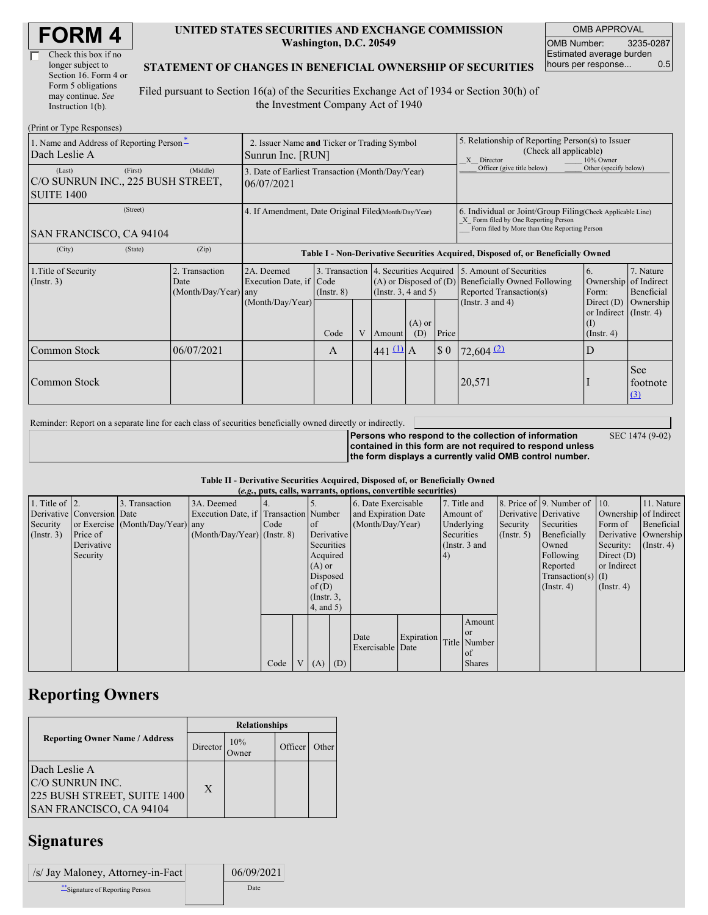| <b>FORM4</b> |
|--------------|
|--------------|

| Check this box if no  |  |
|-----------------------|--|
| longer subject to     |  |
| Section 16. Form 4 or |  |
| Form 5 obligations    |  |
| may continue. See     |  |
| Instruction 1(b).     |  |

#### **UNITED STATES SECURITIES AND EXCHANGE COMMISSION Washington, D.C. 20549**

OMB APPROVAL OMB Number: 3235-0287 Estimated average burden hours per response... 0.5

### **STATEMENT OF CHANGES IN BENEFICIAL OWNERSHIP OF SECURITIES**

Filed pursuant to Section 16(a) of the Securities Exchange Act of 1934 or Section 30(h) of the Investment Company Act of 1940

| (Print or Type Responses)                                        |                                                                  |                                                |                                                                                  |                         |   |                       |                                                                                                       |                             |                                                                                                                                                                              |                                                                                                           |                                      |  |
|------------------------------------------------------------------|------------------------------------------------------------------|------------------------------------------------|----------------------------------------------------------------------------------|-------------------------|---|-----------------------|-------------------------------------------------------------------------------------------------------|-----------------------------|------------------------------------------------------------------------------------------------------------------------------------------------------------------------------|-----------------------------------------------------------------------------------------------------------|--------------------------------------|--|
| 1. Name and Address of Reporting Person-<br>Dach Leslie A        | 2. Issuer Name and Ticker or Trading Symbol<br>Sunrun Inc. [RUN] |                                                |                                                                                  |                         |   |                       | 5. Relationship of Reporting Person(s) to Issuer<br>(Check all applicable)<br>X Director<br>10% Owner |                             |                                                                                                                                                                              |                                                                                                           |                                      |  |
| (Last)<br>C/O SUNRUN INC., 225 BUSH STREET,<br><b>SUITE 1400</b> | 3. Date of Earliest Transaction (Month/Day/Year)<br>06/07/2021   |                                                |                                                                                  |                         |   |                       | Officer (give title below)                                                                            | Other (specify below)       |                                                                                                                                                                              |                                                                                                           |                                      |  |
| (Street)<br>SAN FRANCISCO, CA 94104                              |                                                                  |                                                | 4. If Amendment, Date Original Filed(Month/Day/Year)                             |                         |   |                       |                                                                                                       |                             | 6. Individual or Joint/Group Filing Check Applicable Line)<br>X Form filed by One Reporting Person<br>Form filed by More than One Reporting Person                           |                                                                                                           |                                      |  |
| (City)                                                           | (State)                                                          | (Zip)                                          | Table I - Non-Derivative Securities Acquired, Disposed of, or Beneficially Owned |                         |   |                       |                                                                                                       |                             |                                                                                                                                                                              |                                                                                                           |                                      |  |
| 1. Title of Security<br>$($ Instr. 3 $)$                         |                                                                  | 2. Transaction<br>Date<br>(Month/Day/Year) any | 2A. Deemed<br>Execution Date, if Code<br>(Month/Day/Year)                        | $($ Instr. $8)$<br>Code | V | Amount                | (Insert. 3, 4 and 5)<br>$(A)$ or<br>Price<br>(D)                                                      |                             | 3. Transaction 4. Securities Acquired 5. Amount of Securities<br>$(A)$ or Disposed of $(D)$ Beneficially Owned Following<br>Reported Transaction(s)<br>(Instr. $3$ and $4$ ) | 6.<br>Ownership of Indirect<br>Form:<br>Direct $(D)$<br>or Indirect (Instr. 4)<br>(1)<br>$($ Instr. 4 $)$ | 7. Nature<br>Beneficial<br>Ownership |  |
| Common Stock                                                     |                                                                  | 06/07/2021                                     |                                                                                  | A                       |   | $441 \underline{u}$ A |                                                                                                       | $\boldsymbol{\mathsf{S}}$ 0 | $72,604$ <sup>(2)</sup>                                                                                                                                                      | D                                                                                                         |                                      |  |
| Common Stock                                                     |                                                                  |                                                |                                                                                  |                         |   |                       |                                                                                                       |                             | 20,571                                                                                                                                                                       |                                                                                                           | <b>See</b><br>footnote<br>$\Omega$   |  |

Reminder: Report on a separate line for each class of securities beneficially owned directly or indirectly.

SEC 1474 (9-02)

**Persons who respond to the collection of information contained in this form are not required to respond unless the form displays a currently valid OMB control number.**

### **Table II - Derivative Securities Acquired, Disposed of, or Beneficially Owned**

| (e.g., puts, calls, warrants, options, convertible securities) |                            |                                  |                                       |      |                |                  |            |                     |                  |            |                 |                  |                              |                       |                      |
|----------------------------------------------------------------|----------------------------|----------------------------------|---------------------------------------|------|----------------|------------------|------------|---------------------|------------------|------------|-----------------|------------------|------------------------------|-----------------------|----------------------|
| 1. Title of $\vert$ 2.                                         |                            | 3. Transaction                   | 3A. Deemed                            |      |                |                  |            | 6. Date Exercisable |                  |            | 7. Title and    |                  | 8. Price of 9. Number of 10. |                       | 11. Nature           |
|                                                                | Derivative Conversion Date |                                  | Execution Date, if Transaction Number |      |                |                  |            | and Expiration Date |                  | Amount of  |                 |                  | Derivative Derivative        | Ownership of Indirect |                      |
| Security                                                       |                            | or Exercise (Month/Day/Year) any |                                       | Code |                | <sub>of</sub>    |            |                     | (Month/Day/Year) |            | Underlying      | Security         | Securities                   | Form of               | Beneficial           |
| (Insert. 3)                                                    | Price of                   |                                  | $(Month/Day/Year)$ (Instr. 8)         |      |                |                  | Derivative |                     |                  | Securities |                 | $($ Instr. 5 $)$ | Beneficially                 |                       | Derivative Ownership |
|                                                                | Derivative                 |                                  |                                       |      |                | Securities       |            |                     |                  |            | (Instr. $3$ and |                  | Owned                        | Security:             | $($ Instr. 4 $)$     |
|                                                                | Security                   |                                  |                                       |      |                | Acquired         |            |                     |                  | (4)        |                 |                  | Following                    | Direct $(D)$          |                      |
|                                                                |                            |                                  |                                       |      |                | $(A)$ or         |            |                     |                  |            |                 |                  | Reported                     | or Indirect           |                      |
|                                                                |                            |                                  |                                       |      |                | Disposed         |            |                     |                  |            |                 |                  | $Transaction(s)$ (I)         |                       |                      |
|                                                                |                            |                                  |                                       |      |                | of $(D)$         |            |                     |                  |            |                 |                  | $($ Instr. 4 $)$             | $($ Instr. 4 $)$      |                      |
|                                                                |                            |                                  |                                       |      |                | $($ Instr. $3$ , |            |                     |                  |            |                 |                  |                              |                       |                      |
|                                                                |                            |                                  |                                       |      |                | 4, and 5)        |            |                     |                  |            |                 |                  |                              |                       |                      |
|                                                                |                            |                                  |                                       |      |                |                  |            |                     |                  |            | Amount          |                  |                              |                       |                      |
|                                                                |                            |                                  |                                       |      |                |                  |            | Date                | Expiration       |            | <sub>or</sub>   |                  |                              |                       |                      |
|                                                                |                            |                                  |                                       |      |                |                  |            | Exercisable Date    |                  |            | Title Number    |                  |                              |                       |                      |
|                                                                |                            |                                  |                                       |      |                |                  |            |                     |                  |            | of              |                  |                              |                       |                      |
|                                                                |                            |                                  |                                       | Code | V <sub>1</sub> | $(A)$ $(D)$      |            |                     |                  |            | <b>Shares</b>   |                  |                              |                       |                      |

## **Reporting Owners**

|                                                                                            | <b>Relationships</b> |              |         |       |  |  |  |
|--------------------------------------------------------------------------------------------|----------------------|--------------|---------|-------|--|--|--|
| <b>Reporting Owner Name / Address</b>                                                      | Director             | 10%<br>)wner | Officer | Other |  |  |  |
| Dach Leslie A<br>C/O SUNRUN INC.<br>225 BUSH STREET, SUITE 1400<br>SAN FRANCISCO, CA 94104 | $\mathbf{X}$         |              |         |       |  |  |  |

# **Signatures**

| /s/ Jay Maloney, Attorney-in-Fact | 06/09/2021 |
|-----------------------------------|------------|
| ** Signature of Reporting Person  | Date       |